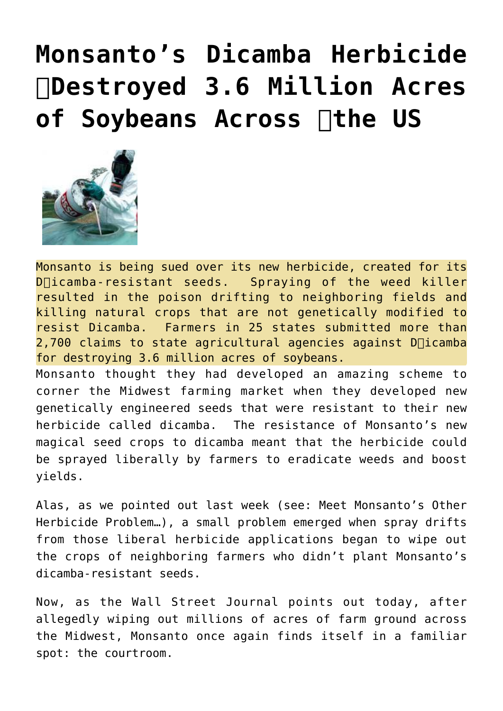## **[Monsanto's Dicamba Herbicide](https://needtoknow.news/2017/11/monsantos-dicamba-herbicide-%e2%80%8bdestroyed-3-6-million-acres-soybean-across-%e2%80%8bthe-us/) [Destroyed 3.6 Million Acres](https://needtoknow.news/2017/11/monsantos-dicamba-herbicide-%e2%80%8bdestroyed-3-6-million-acres-soybean-across-%e2%80%8bthe-us/) [of Soybeans Across the US](https://needtoknow.news/2017/11/monsantos-dicamba-herbicide-%e2%80%8bdestroyed-3-6-million-acres-soybean-across-%e2%80%8bthe-us/)**



yields.

Monsanto is being sued over its new herbicide, created for its  $D\Box$ icamba-resistant seeds. Spraying of the weed killer resulted in the poison drifting to neighboring fields and killing natural crops that are not genetically modified to resist Dicamba. Farmers in 25 states submitted more than  $2,700$  claims to state agricultural agencies against D $\Box$ icamba for destroying 3.6 million acres of soybeans. Monsanto thought they had developed an amazing scheme to corner the Midwest farming market when they developed new genetically engineered seeds that were resistant to their new herbicide called dicamba. The resistance of Monsanto's new magical seed crops to dicamba meant that the herbicide could

Alas, as we pointed out last week (see: [Meet Monsanto's Other](http://www.zerohedge.com/news/2017-11-01/meet-monsantos-other-herbicide-problem) [Herbicide Problem…](http://www.zerohedge.com/news/2017-11-01/meet-monsantos-other-herbicide-problem)), a small problem emerged when spray drifts from those liberal herbicide applications began to wipe out the crops of neighboring farmers who didn't plant Monsanto's dicamba-resistant seeds.

be sprayed liberally by farmers to eradicate weeds and boost

Now, as the [Wall Street Journal](https://www.wsj.com/articles/monsanto-bolsters-its-defense-of-weed-killer-1510137001?mg=prod/accounts-wsj) points out today, after allegedly wiping out millions of acres of farm ground across the Midwest, Monsanto once again finds itself in a familiar spot: the courtroom.